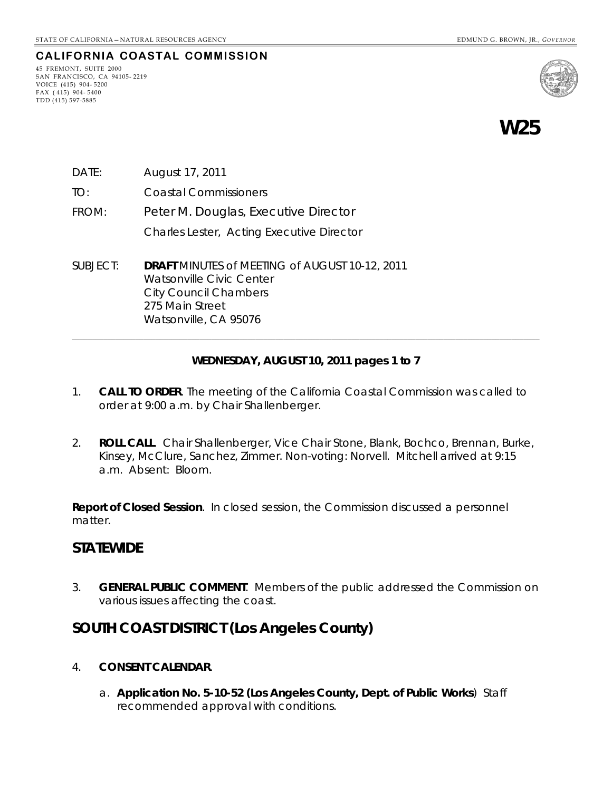### **CALIFORNIA COASTAL COMMISSION**

45 FREMONT, SUITE 2000 SAN FRANCISCO, CA 94105- 2219 VOICE (415) 904- 5200 FAX ( 415) 904- 5400 TDD (415) 597-5885



**W25** 

- DATE: August 17, 2011
- TO: Coastal Commissioners
- FROM: Peter M. Douglas, Executive Director Charles Lester, Acting Executive Director
- SUBJECT: **DRAFT** MINUTES of MEETING of AUGUST 10-12, 2011 Watsonville Civic Center City Council Chambers 275 Main Street Watsonville, CA 95076

#### **WEDNESDAY, AUGUST 10, 2011 pages 1 to 7**

**\_\_\_\_\_\_\_\_\_\_\_\_\_\_\_\_\_\_\_\_\_\_\_\_\_\_\_\_\_\_\_\_\_\_\_\_\_\_\_\_\_\_\_\_\_\_\_\_\_\_\_\_\_\_\_\_\_\_\_\_\_\_\_\_\_\_\_\_\_\_\_\_\_\_\_\_\_\_\_\_\_\_\_\_\_\_\_\_\_\_\_\_\_\_\_\_\_\_\_\_\_\_\_\_\_\_\_\_\_\_\_\_\_\_\_\_\_** 

- 1. **CALL TO ORDER**. The meeting of the California Coastal Commission was called to order at 9:00 a.m. by Chair Shallenberger.
- 2. **ROLL CALL**. Chair Shallenberger, Vice Chair Stone, Blank, Bochco, Brennan, Burke, Kinsey, McClure, Sanchez, Zimmer. Non-voting: Norvell. Mitchell arrived at 9:15 a.m. Absent: Bloom.

**Report of Closed Session**. In closed session, the Commission discussed a personnel matter.

### **STATEWIDE**

3. **GENERAL PUBLIC COMMENT**. Members of the public addressed the Commission on various issues affecting the coast.

### **SOUTH COAST DISTRICT (Los Angeles County)**

- 4. **CONSENT CALENDAR**.
	- a. **Application No. 5-10-52 (Los Angeles County, Dept. of Public Works**) Staff recommended approval with conditions.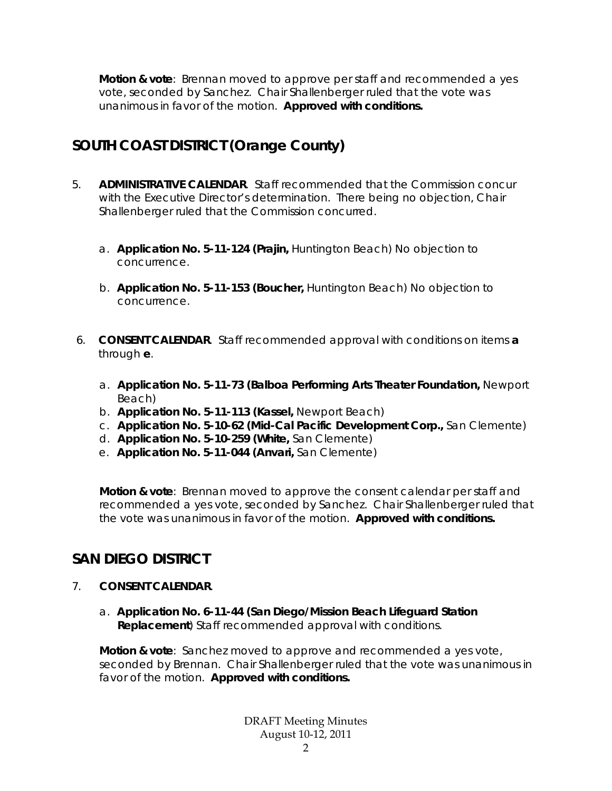**Motion & vote**: Brennan moved to approve per staff and recommended a yes vote, seconded by Sanchez. Chair Shallenberger ruled that the vote was unanimous in favor of the motion. **Approved with conditions.**

# **SOUTH COAST DISTRICT (Orange County)**

- 5. **ADMINISTRATIVE CALENDAR**. Staff recommended that the Commission concur with the Executive Director's determination. There being no objection, Chair Shallenberger ruled that the Commission concurred.
	- a. **Application No. 5-11-124 (Prajin,** Huntington Beach) No objection to concurrence.
	- b. **Application No. 5-11-153 (Boucher,** Huntington Beach) No objection to concurrence.
- 6. **CONSENT CALENDAR**. Staff recommended approval with conditions on items **a** through **e**.
	- a. **Application No. 5-11-73 (Balboa Performing Arts Theater Foundation,** Newport Beach)
	- b. **Application No. 5-11-113 (Kassel,** Newport Beach)
	- c. **Application No. 5-10-62 (Mid-Cal Pacific Development Corp.,** San Clemente)
	- d. **Application No. 5-10-259 (White,** San Clemente)
	- e. **Application No. 5-11-044 (Anvari,** San Clemente)

**Motion & vote**: Brennan moved to approve the consent calendar per staff and recommended a yes vote, seconded by Sanchez. Chair Shallenberger ruled that the vote was unanimous in favor of the motion. **Approved with conditions.**

### **SAN DIEGO DISTRICT**

- 7. **CONSENT CALENDAR**.
	- a. **Application No. 6-11-44 (San Diego/Mission Beach Lifeguard Station Replacement**) Staff recommended approval with conditions.

**Motion & vote**: Sanchez moved to approve and recommended a yes vote, seconded by Brennan. Chair Shallenberger ruled that the vote was unanimous in favor of the motion. **Approved with conditions.**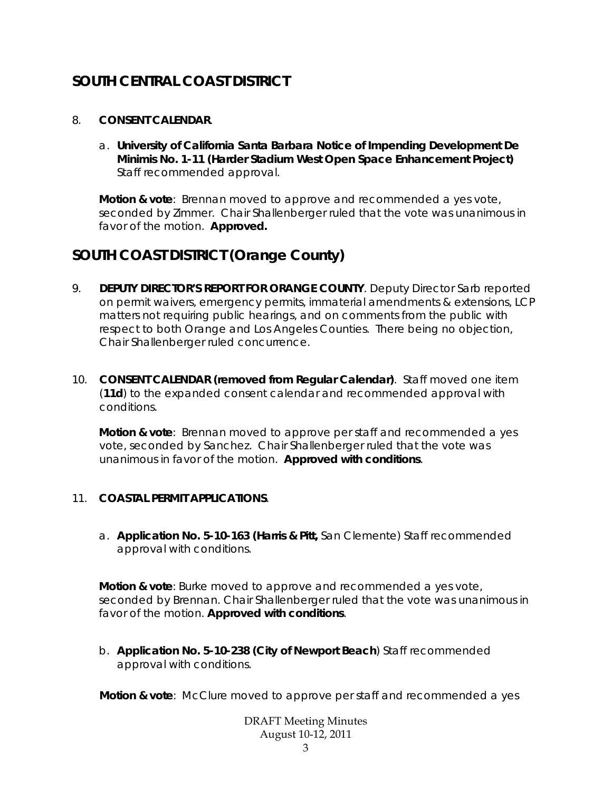# **SOUTH CENTRAL COAST DISTRICT**

#### 8. **CONSENT CALENDAR**.

a. **University of California Santa Barbara Notice of Impending Development De Minimis No. 1-11 (Harder Stadium West Open Space Enhancement Project)**  Staff recommended approval.

**Motion & vote**: Brennan moved to approve and recommended a yes vote, seconded by Zimmer. Chair Shallenberger ruled that the vote was unanimous in favor of the motion. **Approved.** 

### **SOUTH COAST DISTRICT (Orange County)**

- 9. **DEPUTY DIRECTOR'S REPORT FOR ORANGE COUNTY**. Deputy Director Sarb reported on permit waivers, emergency permits, immaterial amendments & extensions, LCP matters not requiring public hearings, and on comments from the public with respect to both Orange and Los Angeles Counties. There being no objection, Chair Shallenberger ruled concurrence.
- 10. **CONSENT CALENDAR (removed from Regular Calendar)**. Staff moved one item (**11d**) to the expanded consent calendar and recommended approval with conditions.

**Motion & vote**: Brennan moved to approve per staff and recommended a yes vote, seconded by Sanchez. Chair Shallenberger ruled that the vote was unanimous in favor of the motion. **Approved with conditions**.

### 11. **COASTAL PERMIT APPLICATIONS**.

a. **Application No. 5-10-163 (Harris & Pitt,** San Clemente) Staff recommended approval with conditions.

**Motion & vote**: Burke moved to approve and recommended a yes vote, seconded by Brennan. Chair Shallenberger ruled that the vote was unanimous in favor of the motion. **Approved with conditions**.

b. **Application No. 5-10-238 (City of Newport Beach**) Staff recommended approval with conditions.

**Motion & vote**: McClure moved to approve per staff and recommended a yes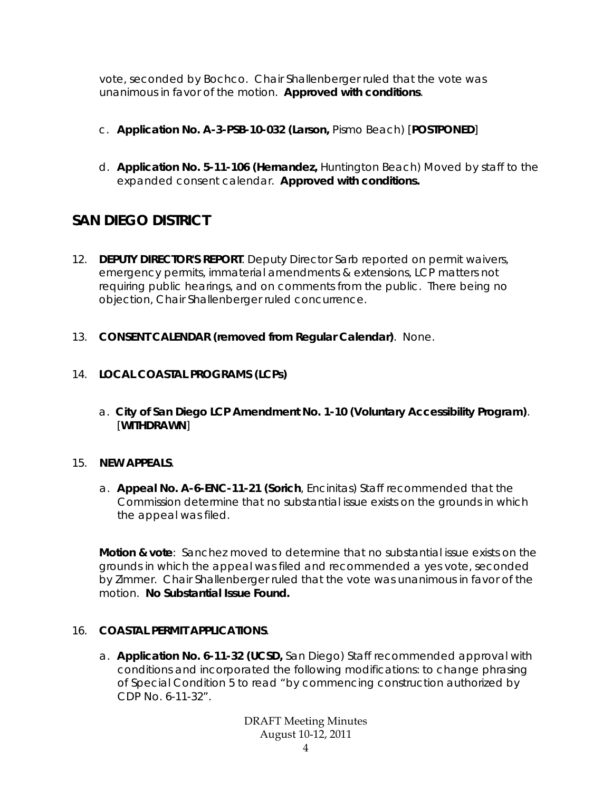vote, seconded by Bochco. Chair Shallenberger ruled that the vote was unanimous in favor of the motion. **Approved with conditions**.

- c. **Application No. A-3-PSB-10-032 (Larson,** Pismo Beach) [**POSTPONED**]
- d. **Application No. 5-11-106 (Hernandez,** Huntington Beach) Moved by staff to the expanded consent calendar. **Approved with conditions.**

# **SAN DIEGO DISTRICT**

- 12. **DEPUTY DIRECTOR'S REPORT**. Deputy Director Sarb reported on permit waivers, emergency permits, immaterial amendments & extensions, LCP matters not requiring public hearings, and on comments from the public. There being no objection, Chair Shallenberger ruled concurrence.
- 13. **CONSENT CALENDAR (removed from Regular Calendar)**. None.

### 14. **LOCAL COASTAL PROGRAMS (LCPs)**

a. **City of San Diego LCP Amendment No. 1-10 (Voluntary Accessibility Program)**. [**WITHDRAWN**]

### 15. **NEW APPEALS**.

a. **Appeal No. A-6-ENC-11-21 (Sorich**, Encinitas) Staff recommended that the Commission determine that no substantial issue exists on the grounds in which the appeal was filed.

**Motion & vote**: Sanchez moved to determine that no substantial issue exists on the grounds in which the appeal was filed and recommended a yes vote, seconded by Zimmer. Chair Shallenberger ruled that the vote was unanimous in favor of the motion. **No Substantial Issue Found.** 

### 16. **COASTAL PERMIT APPLICATIONS**.

a. **Application No. 6-11-32 (UCSD,** San Diego) Staff recommended approval with conditions and incorporated the following modifications: to change phrasing of Special Condition 5 to read "by commencing construction authorized by CDP No. 6-11-32".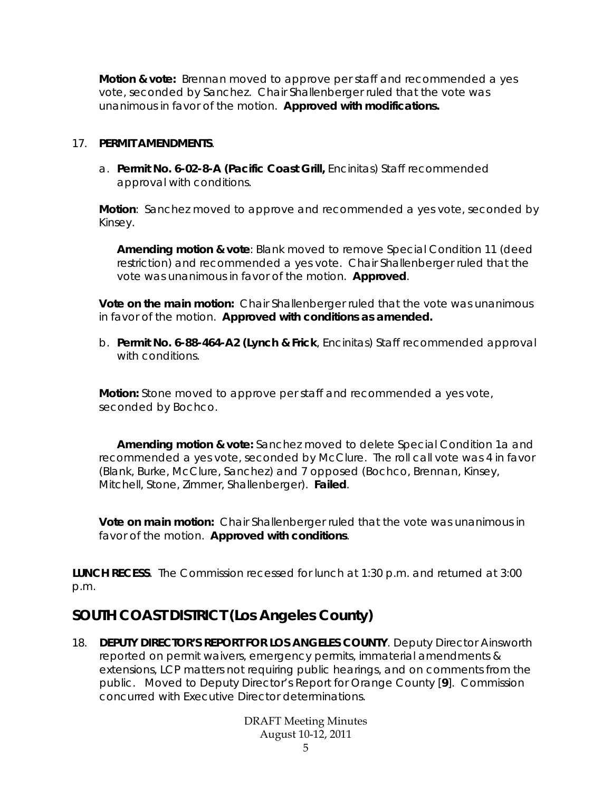**Motion & vote:** Brennan moved to approve per staff and recommended a yes vote, seconded by Sanchez. Chair Shallenberger ruled that the vote was unanimous in favor of the motion. **Approved with modifications.** 

#### 17. **PERMIT AMENDMENTS**.

a. **Permit No. 6-02-8-A (Pacific Coast Grill,** Encinitas) Staff recommended approval with conditions.

**Motion**: Sanchez moved to approve and recommended a yes vote, seconded by Kinsey.

**Amending motion & vote**: Blank moved to remove Special Condition 11 (deed restriction) and recommended a yes vote. Chair Shallenberger ruled that the vote was unanimous in favor of the motion. **Approved**.

**Vote on the main motion:** Chair Shallenberger ruled that the vote was unanimous in favor of the motion. **Approved with conditions as amended.**

b. **Permit No. 6-88-464-A2 (Lynch & Frick**, Encinitas) Staff recommended approval with conditions.

**Motion:** Stone moved to approve per staff and recommended a yes vote, seconded by Bochco.

 **Amending motion & vote:** Sanchez moved to delete Special Condition 1a and recommended a yes vote, seconded by McClure. The roll call vote was 4 in favor (Blank, Burke, McClure, Sanchez) and 7 opposed (Bochco, Brennan, Kinsey, Mitchell, Stone, Zimmer, Shallenberger). **Failed**.

**Vote on main motion:** Chair Shallenberger ruled that the vote was unanimous in favor of the motion. **Approved with conditions**.

**LUNCH RECESS**. The Commission recessed for lunch at 1:30 p.m. and returned at 3:00 p.m.

# **SOUTH COAST DISTRICT (Los Angeles County)**

18. **DEPUTY DIRECTOR'S REPORT FOR LOS ANGELES COUNTY**. Deputy Director Ainsworth reported on permit waivers, emergency permits, immaterial amendments & extensions, LCP matters not requiring public hearings, and on comments from the public. Moved to Deputy Director's Report for Orange County [**9**]. Commission concurred with Executive Director determinations.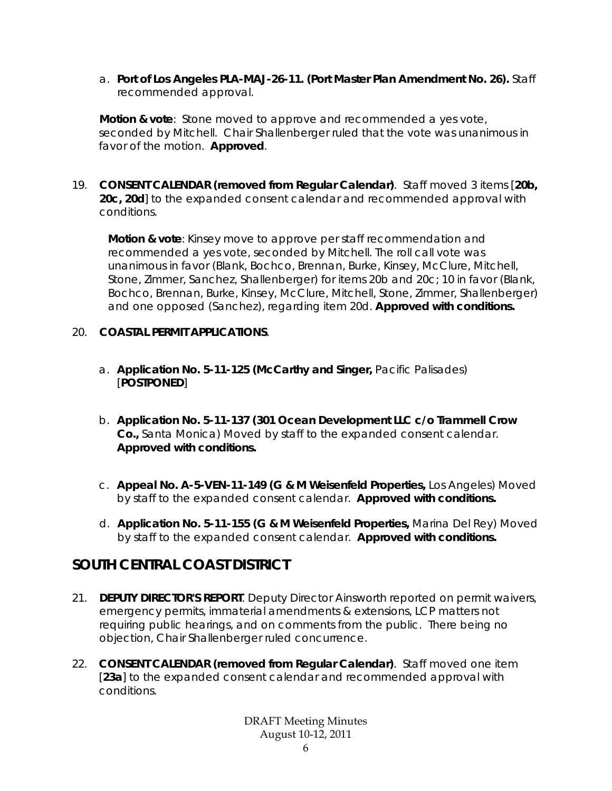a. **Port of Los Angeles PLA-MAJ-26-11. (Port Master Plan Amendment No. 26).** Staff recommended approval.

**Motion & vote**: Stone moved to approve and recommended a yes vote, seconded by Mitchell. Chair Shallenberger ruled that the vote was unanimous in favor of the motion. **Approved**.

19. **CONSENT CALENDAR (removed from Regular Calendar)**. Staff moved 3 items [**20b, 20c, 20d**] to the expanded consent calendar and recommended approval with conditions.

**Motion & vote**: Kinsey move to approve per staff recommendation and recommended a yes vote, seconded by Mitchell. The roll call vote was unanimous in favor (Blank, Bochco, Brennan, Burke, Kinsey, McClure, Mitchell, Stone, Zimmer, Sanchez, Shallenberger) for items 20b and 20c; 10 in favor (Blank, Bochco, Brennan, Burke, Kinsey, McClure, Mitchell, Stone, Zimmer, Shallenberger) and one opposed (Sanchez), regarding item 20d. **Approved with conditions.** 

#### 20. **COASTAL PERMIT APPLICATIONS**.

- a. **Application No. 5-11-125 (McCarthy and Singer,** Pacific Palisades) [**POSTPONED**]
- b. **Application No. 5-11-137 (301 Ocean Development LLC c/o Trammell Crow Co.,** Santa Monica) Moved by staff to the expanded consent calendar. **Approved with conditions.**
- c. **Appeal No. A-5-VEN-11-149 (G & M Weisenfeld Properties,** Los Angeles) Moved by staff to the expanded consent calendar. **Approved with conditions.**
- d. **Application No. 5-11-155 (G & M Weisenfeld Properties,** Marina Del Rey) Moved by staff to the expanded consent calendar. **Approved with conditions.**

### **SOUTH CENTRAL COAST DISTRICT**

- 21. **DEPUTY DIRECTOR'S REPORT**. Deputy Director Ainsworth reported on permit waivers, emergency permits, immaterial amendments & extensions, LCP matters not requiring public hearings, and on comments from the public. There being no objection, Chair Shallenberger ruled concurrence.
- 22. **CONSENT CALENDAR (removed from Regular Calendar)**. Staff moved one item [23a] to the expanded consent calendar and recommended approval with conditions.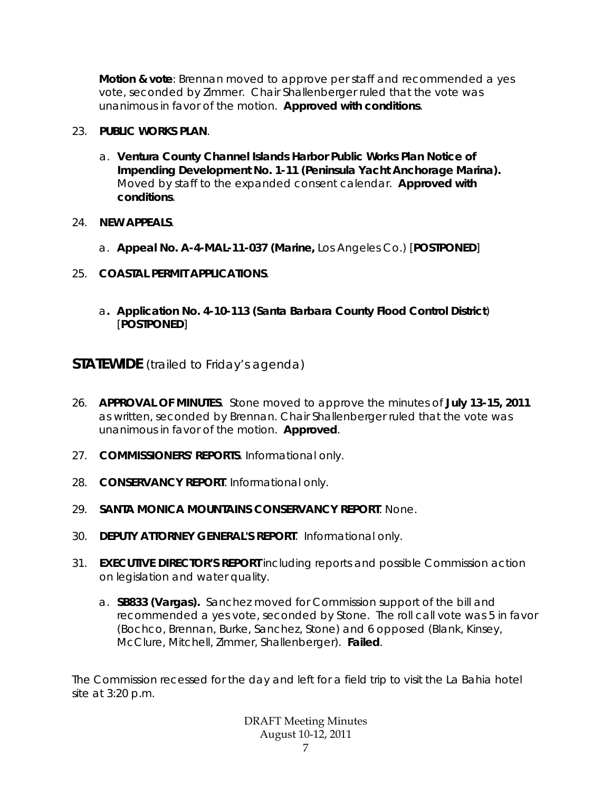**Motion & vote**: Brennan moved to approve per staff and recommended a yes vote, seconded by Zimmer. Chair Shallenberger ruled that the vote was unanimous in favor of the motion. **Approved with conditions**.

### 23. **PUBLIC WORKS PLAN**.

- a. **Ventura County Channel Islands Harbor Public Works Plan Notice of Impending Development No. 1-11 (Peninsula Yacht Anchorage Marina).** Moved by staff to the expanded consent calendar. **Approved with conditions**.
- 24. **NEW APPEALS**.
	- a. **Appeal No. A-4-MAL-11-037 (Marine,** Los Angeles Co.) [**POSTPONED**]
- 25. **COASTAL PERMIT APPLICATIONS**.
	- a**. Application No. 4-10-113 (Santa Barbara County Flood Control District**) [**POSTPONED**]

**STATEWIDE** (trailed to Friday's agenda)

- 26. **APPROVAL OF MINUTES**. Stone moved to approve the minutes of **July 13-15, 2011** as written, seconded by Brennan. Chair Shallenberger ruled that the vote was unanimous in favor of the motion. **Approved**.
- 27. **COMMISSIONERS' REPORTS**. Informational only.
- 28. **CONSERVANCY REPORT**. Informational only.
- 29. **SANTA MONICA MOUNTAINS CONSERVANCY REPORT**. None.
- 30. **DEPUTY ATTORNEY GENERAL'S REPORT**. Informational only.
- 31. **EXECUTIVE DIRECTOR'S REPORT** including reports and possible Commission action on legislation and water quality.
	- a. **SB833 (Vargas).** Sanchez moved for Commission support of the bill and recommended a yes vote, seconded by Stone. The roll call vote was 5 in favor (Bochco, Brennan, Burke, Sanchez, Stone) and 6 opposed (Blank, Kinsey, McClure, Mitchell, Zimmer, Shallenberger). **Failed**.

The Commission recessed for the day and left for a field trip to visit the La Bahia hotel site at 3:20 p.m.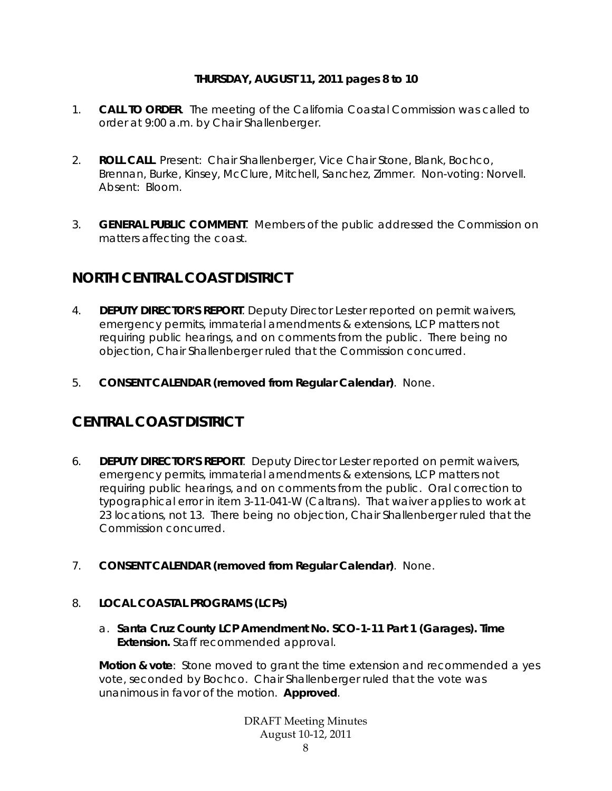### **THURSDAY, AUGUST 11, 2011 pages 8 to 10**

- 1. **CALL TO ORDER**. The meeting of the California Coastal Commission was called to order at 9:00 a.m. by Chair Shallenberger.
- 2. **ROLL CALL**. Present: Chair Shallenberger, Vice Chair Stone, Blank, Bochco, Brennan, Burke, Kinsey, McClure, Mitchell, Sanchez, Zimmer. Non-voting: Norvell. Absent: Bloom.
- 3. **GENERAL PUBLIC COMMENT**. Members of the public addressed the Commission on matters affecting the coast.

### **NORTH CENTRAL COAST DISTRICT**

- 4. **DEPUTY DIRECTOR'S REPORT**. Deputy Director Lester reported on permit waivers, emergency permits, immaterial amendments & extensions, LCP matters not requiring public hearings, and on comments from the public. There being no objection, Chair Shallenberger ruled that the Commission concurred.
- 5. **CONSENT CALENDAR (removed from Regular Calendar)**. None.

### **CENTRAL COAST DISTRICT**

- 6. **DEPUTY DIRECTOR'S REPORT**. Deputy Director Lester reported on permit waivers, emergency permits, immaterial amendments & extensions, LCP matters not requiring public hearings, and on comments from the public. Oral correction to typographical error in item 3-11-041-W (Caltrans). That waiver applies to work at 23 locations, not 13. There being no objection, Chair Shallenberger ruled that the Commission concurred.
- 7. **CONSENT CALENDAR (removed from Regular Calendar)**. None.

### 8. **LOCAL COASTAL PROGRAMS (LCPs)**

a. **Santa Cruz County LCP Amendment No. SCO-1-11 Part 1 (Garages). Time Extension.** Staff recommended approval.

**Motion & vote**: Stone moved to grant the time extension and recommended a yes vote, seconded by Bochco. Chair Shallenberger ruled that the vote was unanimous in favor of the motion. **Approved**.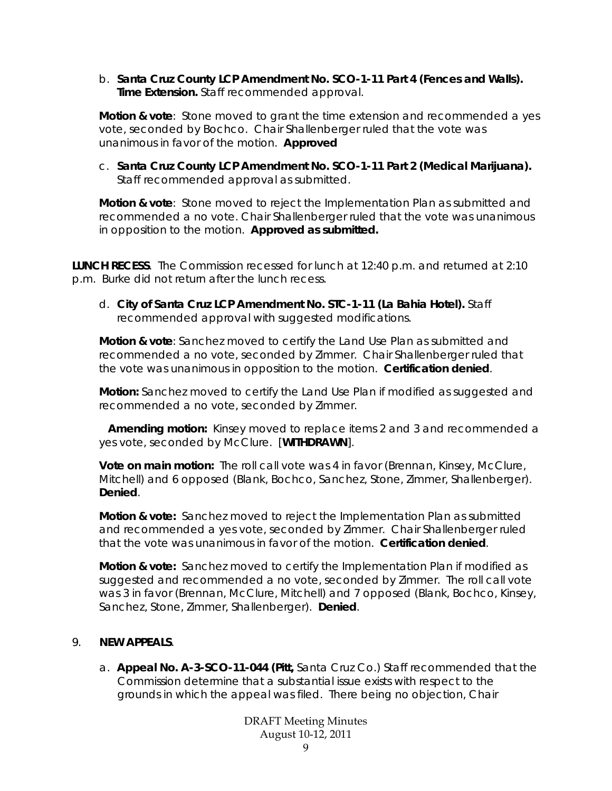b. **Santa Cruz County LCP Amendment No. SCO-1-11 Part 4 (Fences and Walls). Time Extension.** Staff recommended approval.

**Motion & vote**: Stone moved to grant the time extension and recommended a yes vote, seconded by Bochco. Chair Shallenberger ruled that the vote was unanimous in favor of the motion. **Approved**

c. **Santa Cruz County LCP Amendment No. SCO-1-11 Part 2 (Medical Marijuana).**  Staff recommended approval as submitted.

**Motion & vote**: Stone moved to reject the Implementation Plan as submitted and recommended a no vote. Chair Shallenberger ruled that the vote was unanimous in opposition to the motion. **Approved as submitted.**

**LUNCH RECESS**. The Commission recessed for lunch at 12:40 p.m. and returned at 2:10 p.m. Burke did not return after the lunch recess.

d. **City of Santa Cruz LCP Amendment No. STC-1-11 (La Bahia Hotel).** Staff recommended approval with suggested modifications.

**Motion & vote**: Sanchez moved to certify the Land Use Plan as submitted and recommended a no vote, seconded by Zimmer. Chair Shallenberger ruled that the vote was unanimous in opposition to the motion. **Certification denied**.

**Motion:** Sanchez moved to certify the Land Use Plan if modified as suggested and recommended a no vote, seconded by Zimmer.

 **Amending motion:** Kinsey moved to replace items 2 and 3 and recommended a yes vote, seconded by McClure. [**WITHDRAWN**].

**Vote on main motion:** The roll call vote was 4 in favor (Brennan, Kinsey, McClure, Mitchell) and 6 opposed (Blank, Bochco, Sanchez, Stone, Zimmer, Shallenberger). **Denied**.

**Motion & vote:** Sanchez moved to reject the Implementation Plan as submitted and recommended a yes vote, seconded by Zimmer. Chair Shallenberger ruled that the vote was unanimous in favor of the motion. **Certification denied**.

**Motion & vote:** Sanchez moved to certify the Implementation Plan if modified as suggested and recommended a no vote, seconded by Zimmer. The roll call vote was 3 in favor (Brennan, McClure, Mitchell) and 7 opposed (Blank, Bochco, Kinsey, Sanchez, Stone, Zimmer, Shallenberger). **Denied**.

### 9. **NEW APPEALS**.

a. **Appeal No. A-3-SCO-11-044 (Pitt,** Santa Cruz Co.) Staff recommended that the Commission determine that a substantial issue exists with respect to the grounds in which the appeal was filed. There being no objection, Chair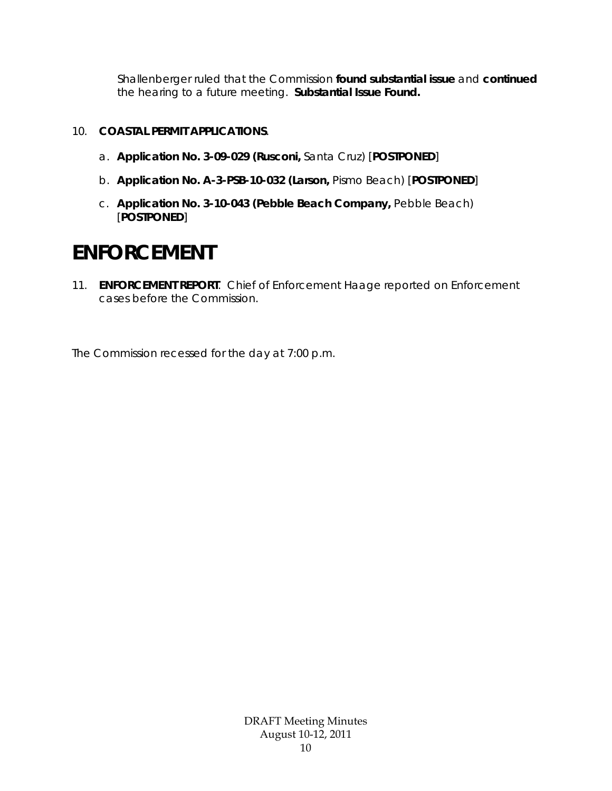Shallenberger ruled that the Commission **found substantial issue** and **continued** the hearing to a future meeting. **Substantial Issue Found.**

### 10. **COASTAL PERMIT APPLICATIONS**.

- a. **Application No. 3-09-029 (Rusconi,** Santa Cruz) [**POSTPONED**]
- b. **Application No. A-3-PSB-10-032 (Larson,** Pismo Beach) [**POSTPONED**]
- c. **Application No. 3-10-043 (Pebble Beach Company,** Pebble Beach) [**POSTPONED**]

# **ENFORCEMENT**

11. **ENFORCEMENT REPORT**. Chief of Enforcement Haage reported on Enforcement cases before the Commission.

The Commission recessed for the day at 7:00 p.m.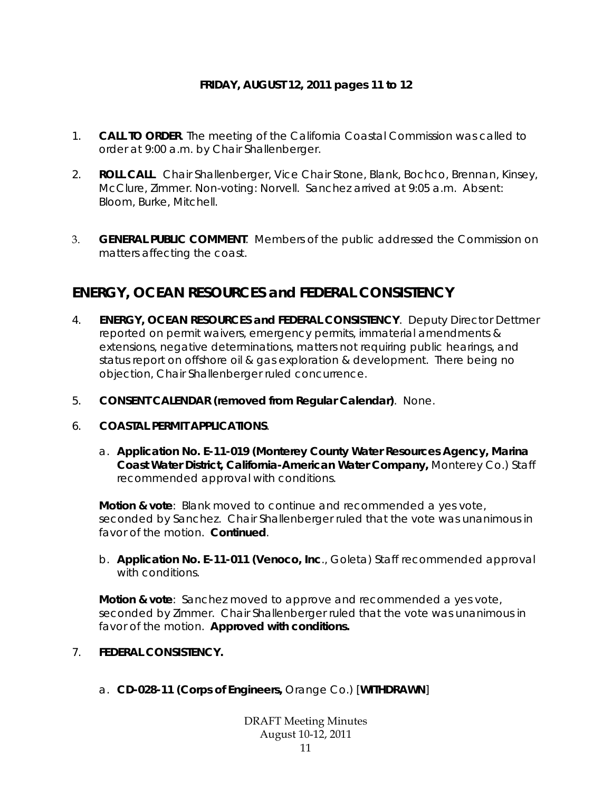### **FRIDAY, AUGUST 12, 2011 pages 11 to 12**

- 1. **CALL TO ORDER**. The meeting of the California Coastal Commission was called to order at 9:00 a.m. by Chair Shallenberger.
- 2. **ROLL CALL**. Chair Shallenberger, Vice Chair Stone, Blank, Bochco, Brennan, Kinsey, McClure, Zimmer. Non-voting: Norvell. Sanchez arrived at 9:05 a.m. Absent: Bloom, Burke, Mitchell.
- 3. **GENERAL PUBLIC COMMENT**. Members of the public addressed the Commission on matters affecting the coast.

### **ENERGY, OCEAN RESOURCES and FEDERAL CONSISTENCY**

- 4. **ENERGY, OCEAN RESOURCES and FEDERAL CONSISTENCY**. Deputy Director Dettmer reported on permit waivers, emergency permits, immaterial amendments & extensions, negative determinations, matters not requiring public hearings, and status report on offshore oil & gas exploration & development. There being no objection, Chair Shallenberger ruled concurrence.
- 5. **CONSENT CALENDAR (removed from Regular Calendar)**. None.
- 6. **COASTAL PERMIT APPLICATIONS**.
	- a. **Application No. E-11-019 (Monterey County Water Resources Agency, Marina Coast Water District, California-American Water Company,** Monterey Co.) Staff recommended approval with conditions.

**Motion & vote**: Blank moved to continue and recommended a yes vote, seconded by Sanchez. Chair Shallenberger ruled that the vote was unanimous in favor of the motion. **Continued**.

b. **Application No. E-11-011 (Venoco, Inc**., Goleta) Staff recommended approval with conditions.

**Motion & vote**: Sanchez moved to approve and recommended a yes vote, seconded by Zimmer. Chair Shallenberger ruled that the vote was unanimous in favor of the motion. **Approved with conditions.** 

- 7. **FEDERAL CONSISTENCY.** 
	- a. **CD-028-11 (Corps of Engineers,** Orange Co.) [**WITHDRAWN**]